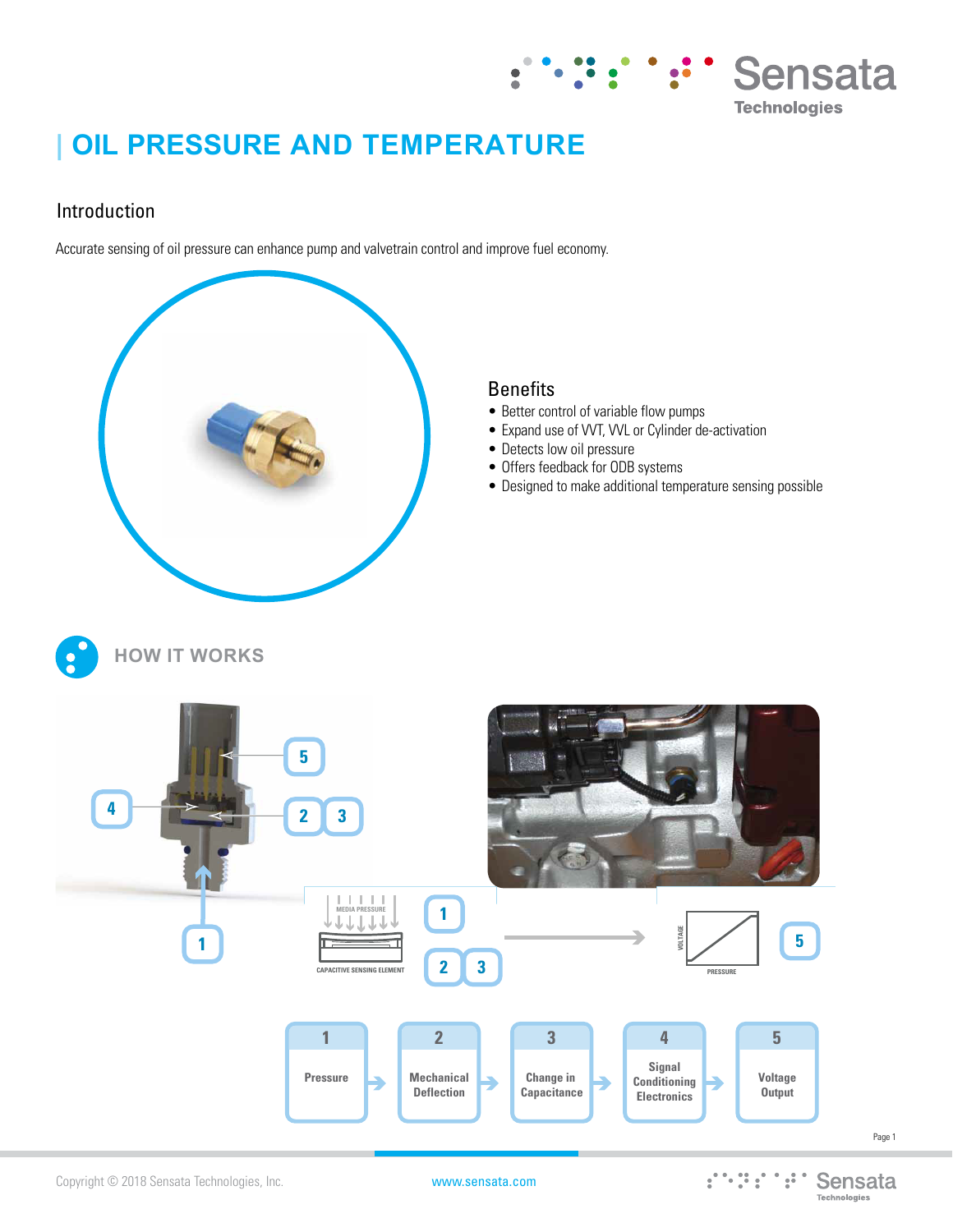

# **| OIL PRESSURE AND TEMPERATURE**

## Introduction

Accurate sensing of oil pressure can enhance pump and valvetrain control and improve fuel economy.



### **Benefits**

- Better control of variable flow pumps
- Expand use of VVT, VVL or Cylinder de-activation
- Detects low oil pressure
- Offers feedback for ODB systems
- Designed to make additional temperature sensing possible







Page 1